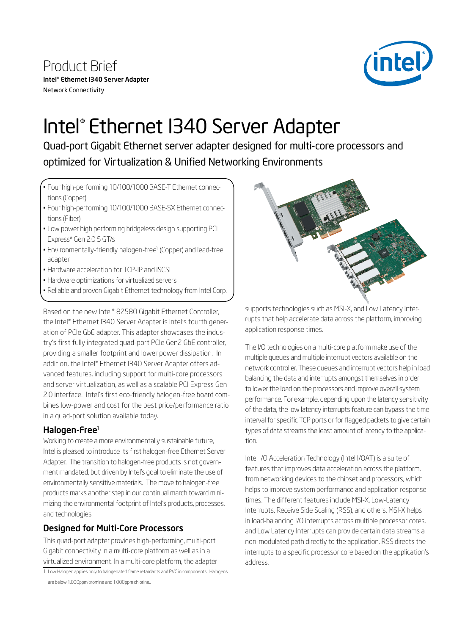Product Brief Intel® Ethernet I340 Server Adapter Network Connectivity



# Intel® Ethernet I340 Server Adapter

Quad-port Gigabit Ethernet server adapter designed for multi-core processors and optimized for Virtualization & Unified Networking Environments

- Four high-performing 10/100/1000 BASE-T Ethernet connections (Copper)
- Four high-performing 10/100/1000 BASE-SX Ethernet connections (Fiber)
- Low power high performing bridgeless design supporting PCI Express\* Gen 2.0 5 GT/s
- Environmentally-friendly halogen-free<sup>1</sup> (Copper) and lead-free adapter
- Hardware acceleration for TCP-IP and iSCSI
- Hardware optimizations for virtualized servers
- Reliable and proven Gigabit Ethernet technology from Intel Corp.

Based on the new Intel® 82580 Gigabit Ethernet Controller, the Intel® Ethernet I340 Server Adapter is Intel's fourth generation of PCIe GbE adapter. This adapter showcases the industry's first fully integrated quad-port PCIe Gen2 GbE controller, providing a smaller footprint and lower power dissipation. In addition, the Intel® Ethernet I340 Server Adapter offers advanced features, including support for multi-core processors and server virtualization, as well as a scalable PCI Express Gen 2.0 interface. Intel's first eco-friendly halogen-free board combines low-power and cost for the best price/performance ratio in a quad-port solution available today.

## Halogen-Free<sup>1</sup>

Working to create a more environmentally sustainable future, Intel is pleased to introduce its first halogen-free Ethernet Server Adapter. The transition to halogen-free products is not government mandated, but driven by Intel's goal to eliminate the use of environmentally sensitive materials. The move to halogen-free products marks another step in our continual march toward minimizing the environmental footprint of Intel's products, processes, and technologies.

## Designed for Multi-Core Processors

This quad-port adapter provides high-performing, multi-port Gigabit connectivity in a multi-core platform as well as in a virtualized environment. In a multi-core platform, the adapter

1 Low Halogen applies only to halogenated flame retardants and PVC in components. Halogens are below 1,000ppm bromine and 1,000ppm chlorine..



supports technologies such as MSI-X, and Low Latency Interrupts that help accelerate data across the platform, improving application response times.

The I/O technologies on a multi-core platform make use of the multiple queues and multiple interrupt vectors available on the network controller. These queues and interrupt vectors help in load balancing the data and interrupts amongst themselves in order to lower the load on the processors and improve overall system performance. For example, depending upon the latency sensitivity of the data, the low latency interrupts feature can bypass the time interval for specific TCP ports or for flagged packets to give certain types of data streams the least amount of latency to the application.

Intel I/O Acceleration Technology (Intel I/OAT) is a suite of features that improves data acceleration across the platform, from networking devices to the chipset and processors, which helps to improve system performance and application response times. The different features include MSI-X, Low-Latency Interrupts, Receive Side Scaling (RSS), and others. MSI-X helps in load-balancing I/O interrupts across multiple processor cores, and Low Latency Interrupts can provide certain data streams a non-modulated path directly to the application. RSS directs the interrupts to a specific processor core based on the application's address.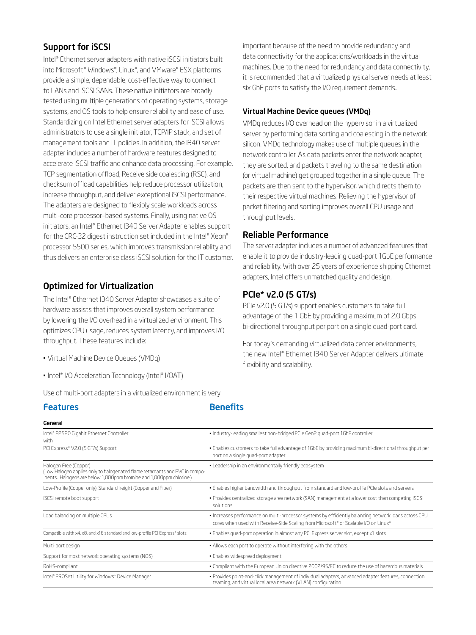## Support for iSCSI

Intel® Ethernet server adapters with native iSCSI initiators built into Microsoft® Windows®, Linux®, and VMware® ESX platforms provide a simple, dependable, cost-effective way to connect to LANs and iSCSI SANs. These native initiators are broadly tested using multiple generations of operating systems, storage systems, and OS tools to help ensure reliability and ease of use. Standardizing on Intel Ethernet server adapters for iSCSI allows administrators to use a single initiator, TCP/IP stack, and set of management tools and IT policies. In addition, the I340 server adapter includes a number of hardware features designed to accelerate iSCSI traffic and enhance data processing. For example, TCP segmentation offload, Receive side coalescing (RSC), and checksum offload capabilities help reduce processor utilization, increase throughput, and deliver exceptional iSCSI performance. The adapters are designed to flexibly scale workloads across multi-core processor–based systems. Finally, using native OS initiators, an Intel® Ethernet I340 Server Adapter enables support for the CRC-32 digest instruction set included in the Intel® Xeon® processor 5500 series, which improves transmission reliablity and thus delivers an enterprise class iSCSI solution for the IT customer.

## Optimized for Virtualization

The Intel® Ethernet I340 Server Adapter showcases a suite of hardware assists that improves overall system performance by lowering the I/O overhead in a virtualized environment. This optimizes CPU usage, reduces system latency, and improves I/O throughput. These features include:

- Virtual Machine Device Queues (VMDq)
- Intel® I/O Acceleration Technology (Intel® I/OAT)

Use of multi-port adapters in a virtualized environment is very

**Features Benefits** 

important because of the need to provide redundancy and data connectivity for the applications/workloads in the virtual machines. Due to the need for redundancy and data connectivity, it is recommended that a virtualized physical server needs at least six GbE ports to satisfy the I/O requirement demands..

### Virtual Machine Device queues (VMDq)

VMDq reduces I/O overhead on the hypervisor in a virtualized server by performing data sorting and coalescing in the network silicon. VMDq technology makes use of multiple queues in the network controller. As data packets enter the network adapter, they are sorted, and packets traveling to the same destination (or virtual machine) get grouped together in a single queue. The packets are then sent to the hypervisor, which directs them to their respective virtual machines. Relieving the hypervisor of packet filtering and sorting improves overall CPU usage and throughput levels.

## Reliable Performance

The server adapter includes a number of advanced features that enable it to provide industry-leading quad-port 1GbE performance and reliability. With over 25 years of experience shipping Ethernet adapters, Intel offers unmatched quality and design.

## PCIe\* v2.0 (5 GT/s)

PCIe v2.0 (5 GT/s) support enables customers to take full advantage of the 1 GbE by providing a maximum of 2.0 Gbps bi-directional throughput per port on a single quad-port card.

For today's demanding virtualized data center environments, the new Intel® Ethernet I340 Server Adapter delivers ultimate flexibility and scalability.

| General                                                                                                                                                                    |                                                                                                                                                                                             |
|----------------------------------------------------------------------------------------------------------------------------------------------------------------------------|---------------------------------------------------------------------------------------------------------------------------------------------------------------------------------------------|
| Intel* 82580 Gigabit Ethernet Controller<br>with                                                                                                                           | . Industry-leading smallest non-bridged PCIe Gen2 quad-port 1GbE controller                                                                                                                 |
| PCI Express* V2.0 (5 GT/s) Support                                                                                                                                         | . Enables customers to take full advantage of 1GbE by providing maximum bi-directional throughput per<br>port on a single guad-port adapter                                                 |
| Halogen Free (Copper)<br>(Low Halogen applies only to halogenated flame retardants and PVC in compo-<br>nents. Halogens are below 1,000ppm bromine and 1,000ppm chlorine.) | . Leadership in an environmentally friendly ecosystem                                                                                                                                       |
| Low-Profile (Copper only), Standard height (Copper and Fiber)                                                                                                              | . Enables higher bandwidth and throughput from standard and low-profile PCIe slots and servers                                                                                              |
| iSCSI remote boot support                                                                                                                                                  | • Provides centralized storage area network (SAN) management at a lower cost than competing iSCSI<br>solutions                                                                              |
| Load balancing on multiple CPUs                                                                                                                                            | . Increases performance on multi-processor systems by efficiently balancing network loads across CPU<br>cores when used with Receive-Side Scaling from Microsoft* or Scalable I/O on Linux* |
| Compatible with x4, x8, and x16 standard and low-profile PCI Express* slots                                                                                                | . Enables quad-port operation in almost any PCI Express server slot, except x1 slots                                                                                                        |
| Multi-port design                                                                                                                                                          | . Allows each port to operate without interfering with the others                                                                                                                           |
| Support for most network operating systems (NOS)                                                                                                                           | · Enables widespread deployment                                                                                                                                                             |
| RoHS-compliant                                                                                                                                                             | . Compliant with the European Union directive 2002/95/EC to reduce the use of hazardous materials                                                                                           |
| Intel® PROSet Utility for Windows* Device Manager                                                                                                                          | · Provides point-and-click management of individual adapters, advanced adapter features, connection<br>teaming, and virtual local area network (VLAN) configuration                         |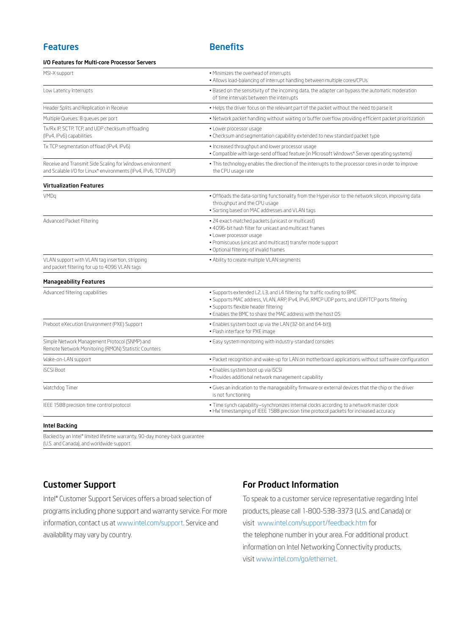#### I/O Features for Multi-core Processor Servers

| MSI-X support                                                                                                               | · Minimizes the overhead of interrupts<br>. Allows load-balancing of interrupt handling between multiple cores/CPUs<br>. Based on the sensitivity of the incoming data, the adapter can bypass the automatic moderation<br>of time intervals between the interrupts          |  |
|-----------------------------------------------------------------------------------------------------------------------------|------------------------------------------------------------------------------------------------------------------------------------------------------------------------------------------------------------------------------------------------------------------------------|--|
| Low Latency Interrupts                                                                                                      |                                                                                                                                                                                                                                                                              |  |
| Header Splits and Replication in Receive                                                                                    | . Helps the driver focus on the relevant part of the packet without the need to parse it                                                                                                                                                                                     |  |
| Multiple Queues: 8 queues per port                                                                                          | . Network packet handling without waiting or buffer overflow providing efficient packet prioritization                                                                                                                                                                       |  |
| Tx/Rx IP, SCTP, TCP, and UDP checksum offloading<br>(IPv4, IPv6) capabilities                                               | · Lower processor usage<br>. Checksum and segmentation capability extended to new standard packet type                                                                                                                                                                       |  |
| Tx TCP segmentation offload (IPv4, IPv6)                                                                                    | · Increased throughput and lower processor usage<br>. Compatible with large-send offload feature (in Microsoft Windows* Server operating systems)                                                                                                                            |  |
| Receive and Transmit Side Scaling for Windows environment<br>and Scalable I/O for Linux* environments (IPv4, IPv6, TCP/UDP) | . This technology enables the direction of the interrupts to the processor cores in order to improve<br>the CPU usage rate                                                                                                                                                   |  |
| <b>Virtualization Features</b>                                                                                              |                                                                                                                                                                                                                                                                              |  |
| VMDq                                                                                                                        | . Offloads the data-sorting functionality from the Hypervisor to the network silicon, improving data<br>throughput and the CPU usage<br>· Sorting based on MAC addresses and VLAN tags                                                                                       |  |
| Advanced Packet Filtering                                                                                                   | · 24 exact-matched packets (unicast or multicast)<br>. 4096-bit hash filter for unicast and multicast frames<br>· Lower processor usage<br>· Promiscuous (unicast and multicast) transfer mode support<br>. Optional filtering of invalid frames                             |  |
| VLAN support with VLAN tag insertion, stripping<br>and packet filtering for up to 4096 VLAN tags                            | . Ability to create multiple VLAN segments                                                                                                                                                                                                                                   |  |
| <b>Manageability Features</b>                                                                                               |                                                                                                                                                                                                                                                                              |  |
| Advanced filtering capabilities                                                                                             | . Supports extended L2, L3, and L4 filtering for traffic routing to BMC<br>· Supports MAC address, VLAN, ARP, IPv4, IPv6, RMCP UDP ports, and UDP/TCP ports filtering<br>· Supports flexible header filtering<br>. Enables the BMC to share the MAC address with the host OS |  |
| Preboot eXecution Environment (PXE) Support                                                                                 | . Enables system boot up via the LAN (32-bit and 64-bit))<br>· Flash interface for PXE image                                                                                                                                                                                 |  |
| Simple Network Management Protocol (SNMP) and<br>Remote Network Monitoring (RMON) Statistic Counters                        | . Easy system monitoring with industry-standard consoles                                                                                                                                                                                                                     |  |
| Wake-on-LAN support                                                                                                         | . Packet recognition and wake-up for LAN on motherboard applications without software configuration                                                                                                                                                                          |  |
| <b>iSCSI Boot</b>                                                                                                           | · Enables system boot up via iSCSI<br>· Provides additional network management capability                                                                                                                                                                                    |  |
| Watchdog Timer                                                                                                              | . Gives an indication to the manageability firmware or external devices that the chip or the driver<br>is not functioning                                                                                                                                                    |  |
| IEEE 1588 precision time control protocol                                                                                   | · Time synch capability-synchronizes internal clocks according to a network master clock<br>. HW timestamping of IEEE 1588 precision time protocol packets for increased accuracy                                                                                            |  |
|                                                                                                                             |                                                                                                                                                                                                                                                                              |  |

#### Intel Backing

İ

Backed by an Intel® limited lifetime warranty, 90-day money-back guarantee (U.S. and Canada), and worldwide support

## Customer Support

Intel® Customer Support Services offers a broad selection of programs including phone support and warranty service. For more information, contact us at www.intel.com/support. Service and availability may vary by country.

## For Product Information

To speak to a customer service representative regarding Intel products, please call 1-800-538-3373 (U.S. and Canada) or visit www.intel.com/support/feedback.htm for the telephone number in your area. For additional product information on Intel Networking Connectivity products, visit www.intel.com/go/ethernet.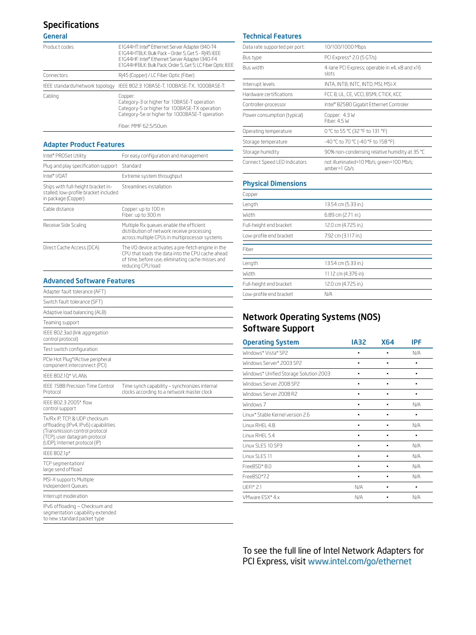## Specifications

General

| Product codes                   | E1G44HT: Intel® Ethernet Server Adapter I340-T4<br>E1G44HTBLK: Bulk Pack - Order 5, Get 5 - RI45 IEEE<br>E1G44HF: Intel® Ethernet Server Adapter I340-F4<br>E1G44HFBLK: Bulk Pack; Order 5, Get 5; LC Fiber Optic IEEE |
|---------------------------------|------------------------------------------------------------------------------------------------------------------------------------------------------------------------------------------------------------------------|
| Connectors                      | Ri45 (Copper) / LC Fiber Optic (Fiber)                                                                                                                                                                                 |
| IEEE standards/network topology | IEEE 802.3 IOBASE-T, IOOBASE-TX, IOOOBASE-T.                                                                                                                                                                           |
| Cabling                         | Copper:<br>Category-3 or higher for 10BASE-T operation<br>Category-5 or higher for 100BASE-TX operation<br>Category-5e or higher for 1000BASE-T operation<br>Fiber: MMF 62.5/50um                                      |

#### Adapter Product Features

| Intel® PROSet Utility                                                                              | For easy configuration and management                                                                                                                                            |
|----------------------------------------------------------------------------------------------------|----------------------------------------------------------------------------------------------------------------------------------------------------------------------------------|
| Plug and play specification support                                                                | Standard                                                                                                                                                                         |
| Intel® I/OAT                                                                                       | Extreme system throughput                                                                                                                                                        |
| Ships with full-height bracket in-<br>stalled; low-profile bracket included<br>in package (Copper) | Streamlines installation                                                                                                                                                         |
| Cable distance                                                                                     | Copper: up to 100 m<br>Fiber: up to 300 m                                                                                                                                        |
| Receive Side Scaling                                                                               | Multiple Rx queues enable the efficient<br>distribution of network receive processing<br>across multiple CPUs in multiprocessor systems                                          |
| Direct Cache Access (DCA)                                                                          | The I/O device activates a pre-fetch engine in the<br>CPU that loads the data into the CPU cache ahead<br>of time, before use, eliminating cache misses and<br>reducing CPU load |

#### Advanced Software Features

| Adapter fault tolerance (AFT)                                                                                                                                             |                                                                                             |
|---------------------------------------------------------------------------------------------------------------------------------------------------------------------------|---------------------------------------------------------------------------------------------|
| Switch fault tolerance (SFT)                                                                                                                                              |                                                                                             |
| Adaptive load balancing (ALB)                                                                                                                                             |                                                                                             |
| Teaming support                                                                                                                                                           |                                                                                             |
| IEEE 802.3ad (link aggregation<br>control protocol)                                                                                                                       |                                                                                             |
| Test switch configuration                                                                                                                                                 |                                                                                             |
| PCIe Hot Plug*/Active peripheral<br>component interconnect (PCI)                                                                                                          |                                                                                             |
| IEEE 802.10* VLANs                                                                                                                                                        |                                                                                             |
| <b>IFFE 1588 Precision Time Control</b><br>Protocol                                                                                                                       | Time synch capability - synchronizes internal<br>clocks according to a network master clock |
| IFFF 802.3 2005* flow<br>control support                                                                                                                                  |                                                                                             |
| Tx/Rx IP, TCP, & UDP checksum<br>offloading (IPv4, IPv6) capabilities<br>(Transmission control protocol<br>(TCP), user datagram protocol<br>(UDP), Internet protocol (IP) |                                                                                             |
| IEEE 802.1p*                                                                                                                                                              |                                                                                             |
| TCP segmentation/<br>large send offload                                                                                                                                   |                                                                                             |
| MSI-X supports Multiple<br>Independent Queues                                                                                                                             |                                                                                             |
| Interrupt moderation                                                                                                                                                      |                                                                                             |
| IPv6 offloading - Checksum and<br>hehnetze vtilidsneh noitstnemnez                                                                                                        |                                                                                             |

segmentation capability extended to new standard packet type

#### Technical Features

| Data rate supported per port: | 10/100/1000 Mbps                                         |  |
|-------------------------------|----------------------------------------------------------|--|
| Bus type                      | PCI Express* 2.0 (5 GT/s)                                |  |
| <b>Bus width</b>              | 4-lane PCI Express; operable in x4, x8 and x16<br>slots  |  |
| Interrupt levels              | INTA, INTB, INTC, INTD, MSI, MSI-X                       |  |
| Hardware certifications       | FCC B. UL. CE. VCCI. BSMI. CTICK. KCC                    |  |
| Controller-processor          | Intel* 82580 Gigabit Ethernet Controler                  |  |
| Power consumption (typical)   | Copper: 4.3 W<br>Fiber: 4.5 W                            |  |
| Operating temperature         | 0 °C to 55 °C (32 °F to 131 °F)                          |  |
| Storage temperature           | -40 °C to 70 °C (-40 °F to 158 °F)                       |  |
| Storage humidity              | 90% non-condensing relative humidity at 35 °C            |  |
| Connect Speed LED Indicators  | not illuminated=10 Mb/s; green=100 Mb/s;<br>amber=1 Gb/s |  |

#### Physical Dimensions

| Copper                  |                     |
|-------------------------|---------------------|
| Length                  | 13.54 cm (5.33 in.) |
| Width                   | 6.89 cm (2.71 in.)  |
| Full-height end bracket | 12.0 cm (4.725 in.) |
| Low-profile end bracket | 7.92 cm (3.117 in.) |
| Fiber                   |                     |
| Length                  | 13.54 cm (5.33 in.) |
| <b>Width</b>            | 11.12 cm (4.376 in) |
| Full-height end bracket | 12.0 cm (4.725 in.) |
| Low-profile end bracket | N/A                 |

## Network Operating Systems (NOS) Software Support

| <b>Operating System</b>                | <b>IA32</b> | <b>X64</b> | IPF |
|----------------------------------------|-------------|------------|-----|
| Windows* Vista* SP2                    |             |            | N/A |
| Windows Server* 2003 SP2               |             |            |     |
| Windows* Unified Storage Solution 2003 |             |            |     |
| Windows Server 2008 SP2                | ٠           | ٠          | ٠   |
| Windows Server 2008 R2                 |             |            |     |
| Windows 7                              |             |            | N/A |
| Linux* Stable Kernel version 2.6       |             | ٠          | ٠   |
| Linux RHEL 4.8.                        |             |            | N/A |
| Linux RHFL 5.4                         |             |            |     |
| Linux SLES 10 SP3                      |             | ٠          | N/A |
| Linux SLES 11                          |             |            | N/A |
| FreeBSD*8.0                            |             |            | N/A |
| FreeBSD*7.2                            |             |            | N/A |
| $UFFI*2.1$                             | N/A         |            |     |
| VMware ESX* 4.x                        | N/A         | ٠          | N/A |

To see the full line of Intel Network Adapters for PCI Express, visit www.intel.com/go/ethernet